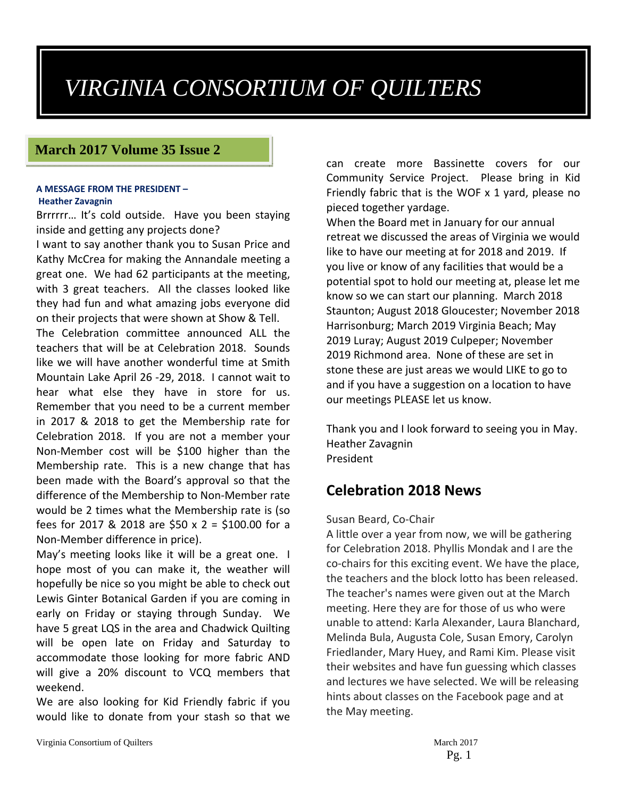# *VIRGINIA CONSORTIUM OF QUILTERS*

## **March 2017 Volume 35 Issue 2**

#### **A MESSAGE FROM THE PRESIDENT – Heather Zavagnin**

Brrrrrr… It's cold outside. Have you been staying inside and getting any projects done?

I want to say another thank you to Susan Price and Kathy McCrea for making the Annandale meeting a great one. We had 62 participants at the meeting, with 3 great teachers. All the classes looked like they had fun and what amazing jobs everyone did on their projects that were shown at Show & Tell.

The Celebration committee announced ALL the teachers that will be at Celebration 2018. Sounds like we will have another wonderful time at Smith Mountain Lake April 26 ‐29, 2018. I cannot wait to hear what else they have in store for us. Remember that you need to be a current member in 2017 & 2018 to get the Membership rate for Celebration 2018. If you are not a member your Non‐Member cost will be \$100 higher than the Membership rate. This is a new change that has been made with the Board's approval so that the difference of the Membership to Non‐Member rate would be 2 times what the Membership rate is (so fees for 2017 & 2018 are \$50 x 2 = \$100.00 for a Non‐Member difference in price).

May's meeting looks like it will be a great one. I hope most of you can make it, the weather will hopefully be nice so you might be able to check out Lewis Ginter Botanical Garden if you are coming in early on Friday or staying through Sunday. We have 5 great LQS in the area and Chadwick Quilting will be open late on Friday and Saturday to accommodate those looking for more fabric AND will give a 20% discount to VCQ members that weekend.

We are also looking for Kid Friendly fabric if you would like to donate from your stash so that we can create more Bassinette covers for our Community Service Project. Please bring in Kid Friendly fabric that is the WOF x 1 yard, please no pieced together yardage.

When the Board met in January for our annual retreat we discussed the areas of Virginia we would like to have our meeting at for 2018 and 2019. If you live or know of any facilities that would be a potential spot to hold our meeting at, please let me know so we can start our planning. March 2018 Staunton; August 2018 Gloucester; November 2018 Harrisonburg; March 2019 Virginia Beach; May 2019 Luray; August 2019 Culpeper; November 2019 Richmond area. None of these are set in stone these are just areas we would LIKE to go to and if you have a suggestion on a location to have our meetings PLEASE let us know.

Thank you and I look forward to seeing you in May. Heather Zavagnin President

## **Celebration 2018 News**

#### Susan Beard, Co‐Chair

A little over a year from now, we will be gathering for Celebration 2018. Phyllis Mondak and I are the co‐chairs for this exciting event. We have the place, the teachers and the block lotto has been released. The teacher's names were given out at the March meeting. Here they are for those of us who were unable to attend: Karla Alexander, Laura Blanchard, Melinda Bula, Augusta Cole, Susan Emory, Carolyn Friedlander, Mary Huey, and Rami Kim. Please visit their websites and have fun guessing which classes and lectures we have selected. We will be releasing hints about classes on the Facebook page and at the May meeting.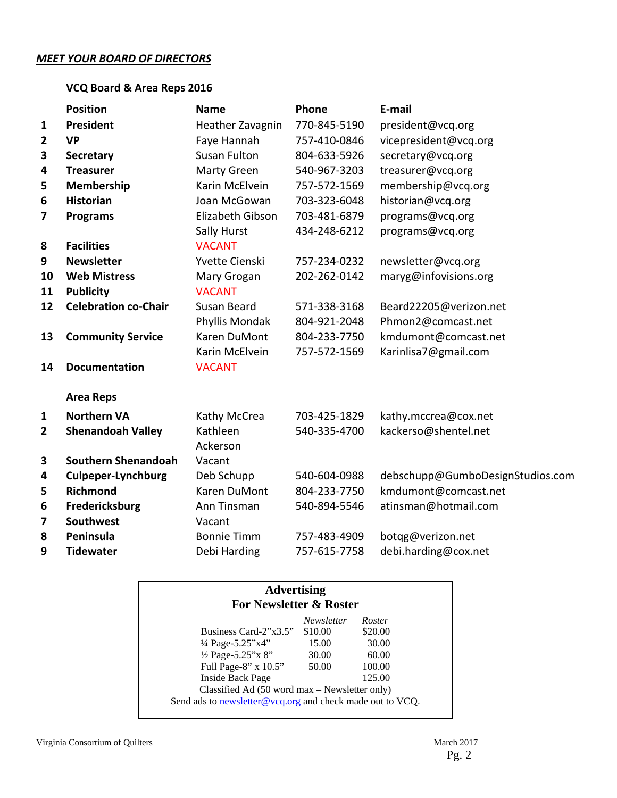#### *MEET YOUR BOARD OF DIRECTORS*

## **VCQ Board & Area Reps 2016**

|                         | <b>Position</b>             | <b>Name</b>         | Phone        | E-mail                           |
|-------------------------|-----------------------------|---------------------|--------------|----------------------------------|
| $\mathbf{1}$            | <b>President</b>            | Heather Zavagnin    | 770-845-5190 | president@vcq.org                |
| $\mathbf{2}$            | <b>VP</b>                   | Faye Hannah         | 757-410-0846 | vicepresident@vcq.org            |
| 3                       | <b>Secretary</b>            | <b>Susan Fulton</b> | 804-633-5926 | secretary@vcq.org                |
| 4                       | <b>Treasurer</b>            | Marty Green         | 540-967-3203 | treasurer@vcq.org                |
| 5                       | Membership                  | Karin McElvein      | 757-572-1569 | membership@vcq.org               |
| 6                       | <b>Historian</b>            | Joan McGowan        | 703-323-6048 | historian@vcq.org                |
| $\overline{\mathbf{z}}$ | <b>Programs</b>             | Elizabeth Gibson    | 703-481-6879 | programs@vcq.org                 |
|                         |                             | Sally Hurst         | 434-248-6212 | programs@vcq.org                 |
| 8                       | <b>Facilities</b>           | <b>VACANT</b>       |              |                                  |
| 9                       | <b>Newsletter</b>           | Yvette Cienski      | 757-234-0232 | newsletter@vcq.org               |
| 10                      | <b>Web Mistress</b>         | Mary Grogan         | 202-262-0142 | maryg@infovisions.org            |
| 11                      | <b>Publicity</b>            | <b>VACANT</b>       |              |                                  |
| 12                      | <b>Celebration co-Chair</b> | Susan Beard         | 571-338-3168 | Beard22205@verizon.net           |
|                         |                             | Phyllis Mondak      | 804-921-2048 | Phmon2@comcast.net               |
| 13                      | <b>Community Service</b>    | Karen DuMont        | 804-233-7750 | kmdumont@comcast.net             |
|                         |                             | Karin McElvein      | 757-572-1569 | Karinlisa7@gmail.com             |
| 14                      | <b>Documentation</b>        | <b>VACANT</b>       |              |                                  |
|                         | <b>Area Reps</b>            |                     |              |                                  |
| $\mathbf{1}$            | <b>Northern VA</b>          | Kathy McCrea        | 703-425-1829 | kathy.mccrea@cox.net             |
| $\overline{2}$          | <b>Shenandoah Valley</b>    | Kathleen            | 540-335-4700 | kackerso@shentel.net             |
|                         |                             | Ackerson            |              |                                  |
| 3                       | <b>Southern Shenandoah</b>  | Vacant              |              |                                  |
| 4                       | <b>Culpeper-Lynchburg</b>   | Deb Schupp          | 540-604-0988 | debschupp@GumboDesignStudios.com |
| 5                       | <b>Richmond</b>             | Karen DuMont        | 804-233-7750 | kmdumont@comcast.net             |
| 6                       | Fredericksburg              | Ann Tinsman         | 540-894-5546 | atinsman@hotmail.com             |
| 7                       | Southwest                   | Vacant              |              |                                  |
| 8                       | Peninsula                   | <b>Bonnie Timm</b>  | 757-483-4909 | botqg@verizon.net                |
| 9                       | <b>Tidewater</b>            | Debi Harding        | 757-615-7758 | debi.harding@cox.net             |

|                             | Newsletter | Roster  |
|-----------------------------|------------|---------|
| Business Card- $2"x3.5"$    | \$10.00    | \$20.00 |
| $\frac{1}{4}$ Page-5.25"x4" | 15.00      | 30.00   |
| 1/2 Page-5.25"x 8"          | 30.00      | 60.00   |
| Full Page-8" x 10.5"        | 50.00      | 100.00  |
| <b>Inside Back Page</b>     |            | 125.00  |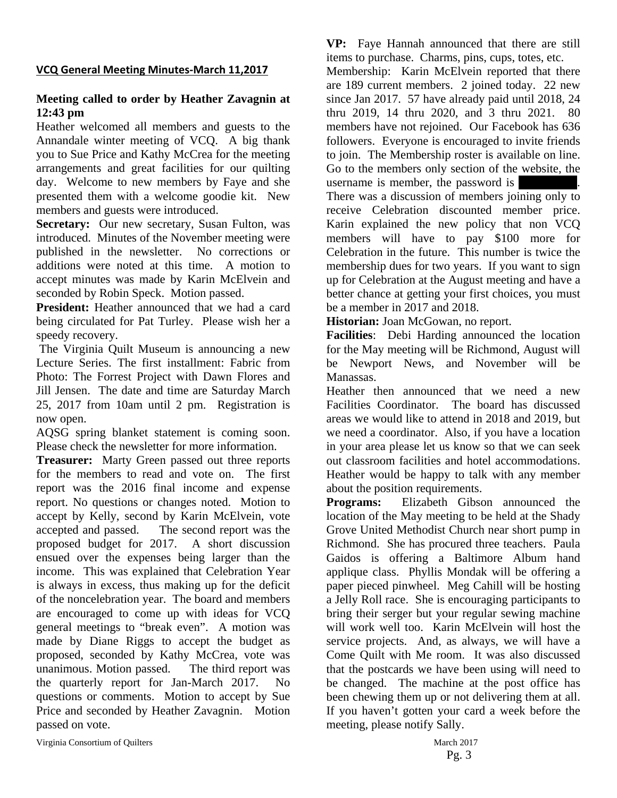## **VCQ General Meeting Minutes‐March 11,2017**

## **Meeting called to order by Heather Zavagnin at 12:43 pm**

Heather welcomed all members and guests to the Annandale winter meeting of VCQ. A big thank you to Sue Price and Kathy McCrea for the meeting arrangements and great facilities for our quilting day. Welcome to new members by Faye and she presented them with a welcome goodie kit. New members and guests were introduced.

Secretary: Our new secretary, Susan Fulton, was introduced. Minutes of the November meeting were published in the newsletter. No corrections or additions were noted at this time. A motion to accept minutes was made by Karin McElvein and seconded by Robin Speck. Motion passed.

**President:** Heather announced that we had a card being circulated for Pat Turley. Please wish her a speedy recovery.

 The Virginia Quilt Museum is announcing a new Lecture Series. The first installment: Fabric from Photo: The Forrest Project with Dawn Flores and Jill Jensen. The date and time are Saturday March 25, 2017 from 10am until 2 pm. Registration is now open.

AQSG spring blanket statement is coming soon. Please check the newsletter for more information.

**Treasurer:** Marty Green passed out three reports for the members to read and vote on. The first report was the 2016 final income and expense report. No questions or changes noted. Motion to accept by Kelly, second by Karin McElvein, vote accepted and passed. The second report was the proposed budget for 2017. A short discussion ensued over the expenses being larger than the income. This was explained that Celebration Year is always in excess, thus making up for the deficit of the noncelebration year. The board and members are encouraged to come up with ideas for VCQ general meetings to "break even". A motion was made by Diane Riggs to accept the budget as proposed, seconded by Kathy McCrea, vote was unanimous. Motion passed. The third report was the quarterly report for Jan-March 2017. No questions or comments. Motion to accept by Sue Price and seconded by Heather Zavagnin. Motion passed on vote.

**VP:** Faye Hannah announced that there are still items to purchase. Charms, pins, cups, totes, etc.

Membership: Karin McElvein reported that there are 189 current members. 2 joined today. 22 new since Jan 2017. 57 have already paid until 2018, 24 thru 2019, 14 thru 2020, and 3 thru 2021. 80 members have not rejoined. Our Facebook has 636 followers. Everyone is encouraged to invite friends to join. The Membership roster is available on line. Go to the members only section of the website, the username is member, the password is

There was a discussion of members joining only to receive Celebration discounted member price. Karin explained the new policy that non VCQ members will have to pay \$100 more for Celebration in the future. This number is twice the membership dues for two years. If you want to sign up for Celebration at the August meeting and have a better chance at getting your first choices, you must be a member in 2017 and 2018.

**Historian:** Joan McGowan, no report.

**Facilities**: Debi Harding announced the location for the May meeting will be Richmond, August will be Newport News, and November will be Manassas.

Heather then announced that we need a new Facilities Coordinator. The board has discussed areas we would like to attend in 2018 and 2019, but we need a coordinator. Also, if you have a location in your area please let us know so that we can seek out classroom facilities and hotel accommodations. Heather would be happy to talk with any member about the position requirements.

**Programs:** Elizabeth Gibson announced the location of the May meeting to be held at the Shady Grove United Methodist Church near short pump in Richmond. She has procured three teachers. Paula Gaidos is offering a Baltimore Album hand applique class. Phyllis Mondak will be offering a paper pieced pinwheel. Meg Cahill will be hosting a Jelly Roll race. She is encouraging participants to bring their serger but your regular sewing machine will work well too. Karin McElvein will host the service projects. And, as always, we will have a Come Quilt with Me room. It was also discussed that the postcards we have been using will need to be changed. The machine at the post office has been chewing them up or not delivering them at all. If you haven't gotten your card a week before the meeting, please notify Sally.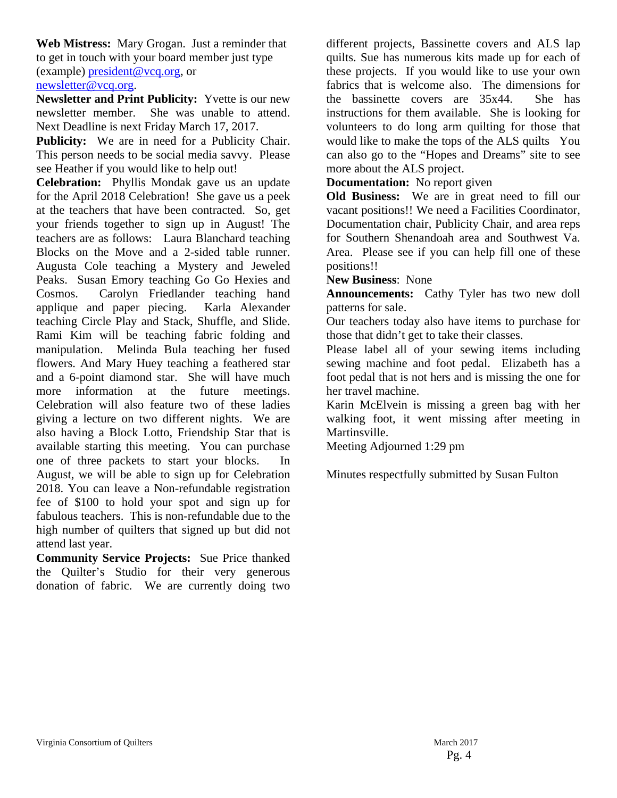**Web Mistress:** Mary Grogan. Just a reminder that to get in touch with your board member just type (example) president@vcq.org, or newsletter@vcq.org.

**Newsletter and Print Publicity:** Yvette is our new newsletter member. She was unable to attend. Next Deadline is next Friday March 17, 2017.

**Publicity:** We are in need for a Publicity Chair. This person needs to be social media savvy. Please see Heather if you would like to help out!

**Celebration:** Phyllis Mondak gave us an update for the April 2018 Celebration! She gave us a peek at the teachers that have been contracted. So, get your friends together to sign up in August! The teachers are as follows: Laura Blanchard teaching Blocks on the Move and a 2-sided table runner. Augusta Cole teaching a Mystery and Jeweled Peaks. Susan Emory teaching Go Go Hexies and Cosmos. Carolyn Friedlander teaching hand applique and paper piecing. Karla Alexander teaching Circle Play and Stack, Shuffle, and Slide. Rami Kim will be teaching fabric folding and manipulation. Melinda Bula teaching her fused flowers. And Mary Huey teaching a feathered star and a 6-point diamond star. She will have much more information at the future meetings. Celebration will also feature two of these ladies giving a lecture on two different nights. We are also having a Block Lotto, Friendship Star that is available starting this meeting. You can purchase one of three packets to start your blocks. August, we will be able to sign up for Celebration 2018. You can leave a Non-refundable registration fee of \$100 to hold your spot and sign up for fabulous teachers. This is non-refundable due to the high number of quilters that signed up but did not attend last year.

**Community Service Projects:** Sue Price thanked the Quilter's Studio for their very generous donation of fabric. We are currently doing two different projects, Bassinette covers and ALS lap quilts. Sue has numerous kits made up for each of these projects. If you would like to use your own fabrics that is welcome also. The dimensions for the bassinette covers are 35x44. She has instructions for them available. She is looking for volunteers to do long arm quilting for those that would like to make the tops of the ALS quilts You can also go to the "Hopes and Dreams" site to see more about the ALS project.

**Documentation:** No report given

**Old Business:** We are in great need to fill our vacant positions!! We need a Facilities Coordinator, Documentation chair, Publicity Chair, and area reps for Southern Shenandoah area and Southwest Va. Area. Please see if you can help fill one of these positions!!

**New Business**: None

**Announcements:** Cathy Tyler has two new doll patterns for sale.

Our teachers today also have items to purchase for those that didn't get to take their classes.

Please label all of your sewing items including sewing machine and foot pedal. Elizabeth has a foot pedal that is not hers and is missing the one for her travel machine.

Karin McElvein is missing a green bag with her walking foot, it went missing after meeting in Martinsville.

Meeting Adjourned 1:29 pm

Minutes respectfully submitted by Susan Fulton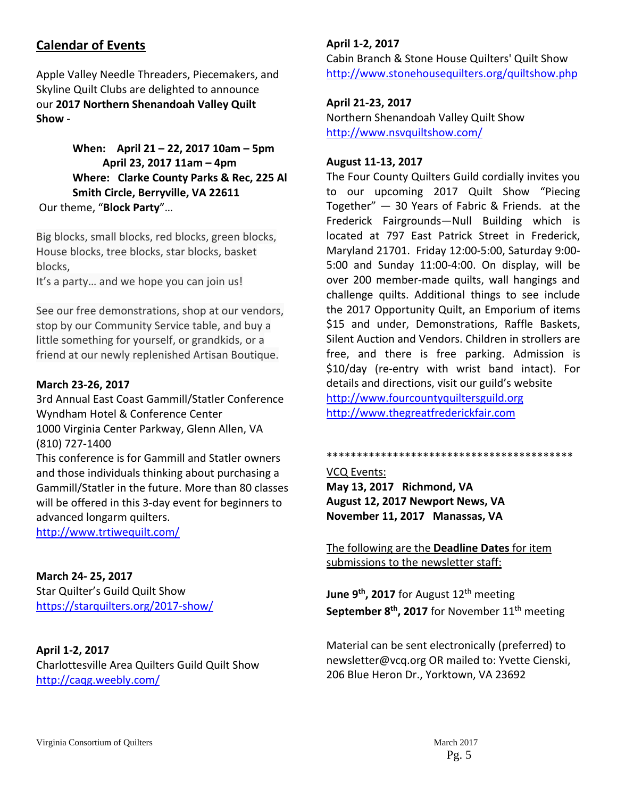## **Calendar of Events**

Apple Valley Needle Threaders, Piecemakers, and Skyline Quilt Clubs are delighted to announce our **2017 Northern Shenandoah Valley Quilt Show** ‐

## **When: April 21 – 22, 2017 10am – 5pm April 23, 2017 11am – 4pm Where: Clarke County Parks & Rec, 225 Al Smith Circle, Berryville, VA 22611** Our theme, "**Block Party**"…

Big blocks, small blocks, red blocks, green blocks, House blocks, tree blocks, star blocks, basket blocks,

It's a party… and we hope you can join us!

See our free demonstrations, shop at our vendors, stop by our Community Service table, and buy a little something for yourself, or grandkids, or a friend at our newly replenished Artisan Boutique.

### **March 23‐26, 2017**

3rd Annual East Coast Gammill/Statler Conference Wyndham Hotel & Conference Center 1000 Virginia Center Parkway, Glenn Allen, VA (810) 727‐1400

This conference is for Gammill and Statler owners and those individuals thinking about purchasing a Gammill/Statler in the future. More than 80 classes will be offered in this 3‐day event for beginners to advanced longarm quilters. http://www.trtiwequilt.com/

**March 24‐ 25, 2017**

Star Quilter's Guild Quilt Show https://starquilters.org/2017‐show/

## **April 1‐2, 2017**

Charlottesville Area Quilters Guild Quilt Show http://caqg.weebly.com/

## **April 1‐2, 2017**

Cabin Branch & Stone House Quilters' Quilt Show http://www.stonehousequilters.org/quiltshow.php

## **April 21‐23, 2017**

Northern Shenandoah Valley Quilt Show http://www.nsvquiltshow.com/

#### **August 11‐13, 2017**

The Four County Quilters Guild cordially invites you to our upcoming 2017 Quilt Show "Piecing Together" — 30 Years of Fabric & Friends. at the Frederick Fairgrounds—Null Building which is located at 797 East Patrick Street in Frederick, Maryland 21701. Friday 12:00‐5:00, Saturday 9:00‐ 5:00 and Sunday 11:00‐4:00. On display, will be over 200 member‐made quilts, wall hangings and challenge quilts. Additional things to see include the 2017 Opportunity Quilt, an Emporium of items \$15 and under, Demonstrations, Raffle Baskets, Silent Auction and Vendors. Children in strollers are free, and there is free parking. Admission is \$10/day (re‐entry with wrist band intact). For details and directions, visit our guild's website http://www.fourcountyquiltersguild.org http://www.thegreatfrederickfair.com

\*\*\*\*\*\*\*\*\*\*\*\*\*\*\*\*\*\*\*\*\*\*\*\*\*\*\*\*\*\*\*\*\*\*\*\*\*\*\*\*\*

VCQ Events: **May 13, 2017 Richmond, VA August 12, 2017 Newport News, VA November 11, 2017 Manassas, VA**

The following are the **Deadline Dates** for item submissions to the newsletter staff:

**June 9th, 2017** for August 12th meeting **September 8<sup>th</sup>, 2017** for November 11<sup>th</sup> meeting

Material can be sent electronically (preferred) to newsletter@vcq.org OR mailed to: Yvette Cienski, 206 Blue Heron Dr., Yorktown, VA 23692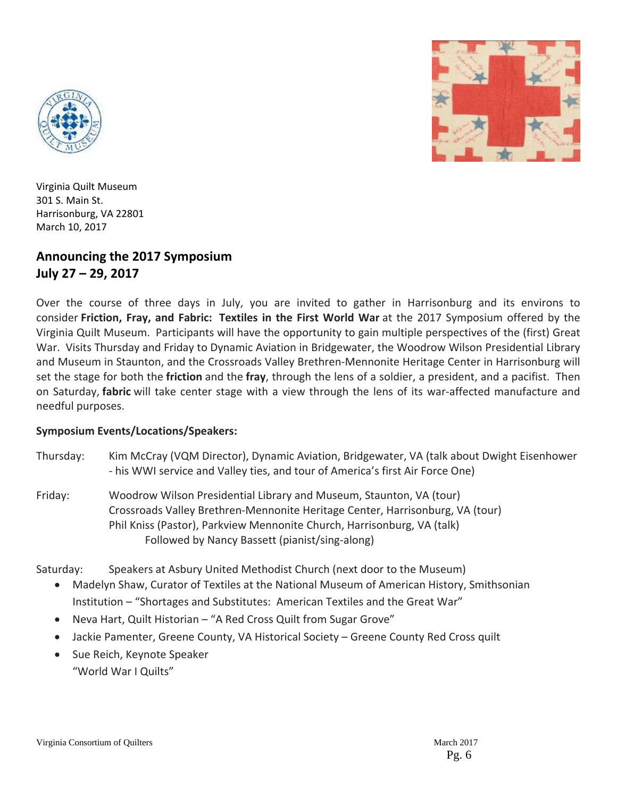



Virginia Quilt Museum 301 S. Main St. Harrisonburg, VA 22801 March 10, 2017

## **Announcing the 2017 Symposium July 27 – 29, 2017**

Over the course of three days in July, you are invited to gather in Harrisonburg and its environs to consider **Friction, Fray, and Fabric: Textiles in the First World War** at the 2017 Symposium offered by the Virginia Quilt Museum. Participants will have the opportunity to gain multiple perspectives of the (first) Great War. Visits Thursday and Friday to Dynamic Aviation in Bridgewater, the Woodrow Wilson Presidential Library and Museum in Staunton, and the Crossroads Valley Brethren-Mennonite Heritage Center in Harrisonburg will set the stage for both the **friction** and the **fray**, through the lens of a soldier, a president, and a pacifist. Then on Saturday, **fabric** will take center stage with a view through the lens of its war-affected manufacture and needful purposes.

## **Symposium Events/Locations/Speakers:**

- Thursday: Kim McCray (VQM Director), Dynamic Aviation, Bridgewater, VA (talk about Dwight Eisenhower ‐ his WWI service and Valley ties, and tour of America's first Air Force One)
- Friday: Woodrow Wilson Presidential Library and Museum, Staunton, VA (tour) Crossroads Valley Brethren‐Mennonite Heritage Center, Harrisonburg, VA (tour) Phil Kniss (Pastor), Parkview Mennonite Church, Harrisonburg, VA (talk) Followed by Nancy Bassett (pianist/sing‐along)

Saturday: Speakers at Asbury United Methodist Church (next door to the Museum)

- Madelyn Shaw, Curator of Textiles at the National Museum of American History, Smithsonian Institution – "Shortages and Substitutes: American Textiles and the Great War"
- Neva Hart, Quilt Historian "A Red Cross Quilt from Sugar Grove"
- Jackie Pamenter, Greene County, VA Historical Society Greene County Red Cross quilt
- Sue Reich, Keynote Speaker "World War I Quilts"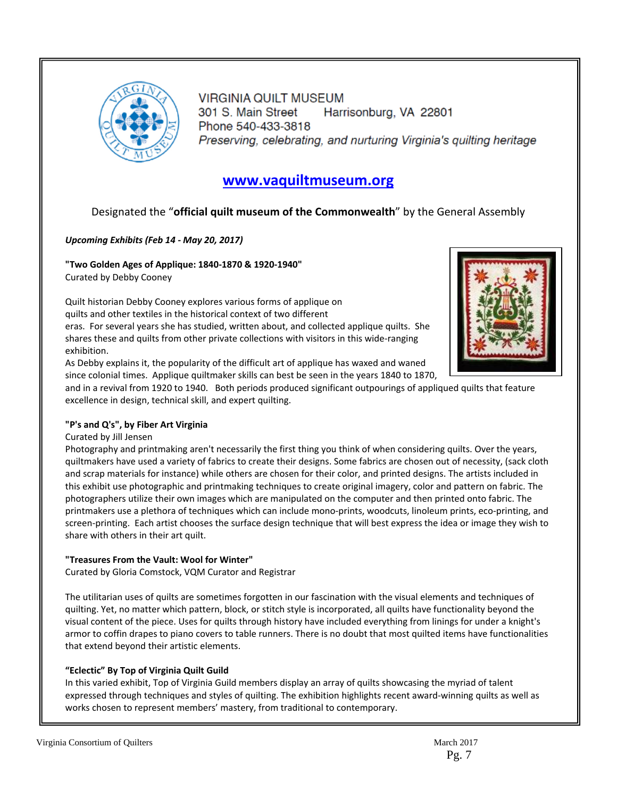

VIRGINIA QUILT MUSEUM 301 S. Main Street Harrisonburg, VA 22801 Phone 540-433-3818 Preserving, celebrating, and nurturing Virginia's quilting heritage

## **www.vaquiltmuseum.org**

## Designated the "**official quilt museum of the Commonwealth**" by the General Assembly

#### *Upcoming Exhibits (Feb 14 ‐ May 20, 2017)*

**"Two Golden Ages of Applique: 1840‐1870 & 1920‐1940"**  Curated by Debby Cooney

Quilt historian Debby Cooney explores various forms of applique on quilts and other textiles in the historical context of two different eras. For several years she has studied, written about, and collected applique quilts. She shares these and quilts from other private collections with visitors in this wide-ranging exhibition.

As Debby explains it, the popularity of the difficult art of applique has waxed and waned since colonial times. Applique quiltmaker skills can best be seen in the years 1840 to 1870,



#### **"P's and Q's", by Fiber Art Virginia**

#### Curated by Jill Jensen

Photography and printmaking aren't necessarily the first thing you think of when considering quilts. Over the years, quiltmakers have used a variety of fabrics to create their designs. Some fabrics are chosen out of necessity, (sack cloth and scrap materials for instance) while others are chosen for their color, and printed designs. The artists included in this exhibit use photographic and printmaking techniques to create original imagery, color and pattern on fabric. The photographers utilize their own images which are manipulated on the computer and then printed onto fabric. The printmakers use a plethora of techniques which can include mono‐prints, woodcuts, linoleum prints, eco‐printing, and screen‐printing. Each artist chooses the surface design technique that will best express the idea or image they wish to share with others in their art quilt.

#### **"Treasures From the Vault: Wool for Winter"**

Curated by Gloria Comstock, VQM Curator and Registrar

The utilitarian uses of quilts are sometimes forgotten in our fascination with the visual elements and techniques of quilting. Yet, no matter which pattern, block, or stitch style is incorporated, all quilts have functionality beyond the visual content of the piece. Uses for quilts through history have included everything from linings for under a knight's armor to coffin drapes to piano covers to table runners. There is no doubt that most quilted items have functionalities that extend beyond their artistic elements.

#### **"Eclectic" By Top of Virginia Quilt Guild**

In this varied exhibit, Top of Virginia Guild members display an array of quilts showcasing the myriad of talent expressed through techniques and styles of quilting. The exhibition highlights recent award-winning quilts as well as works chosen to represent members' mastery, from traditional to contemporary.

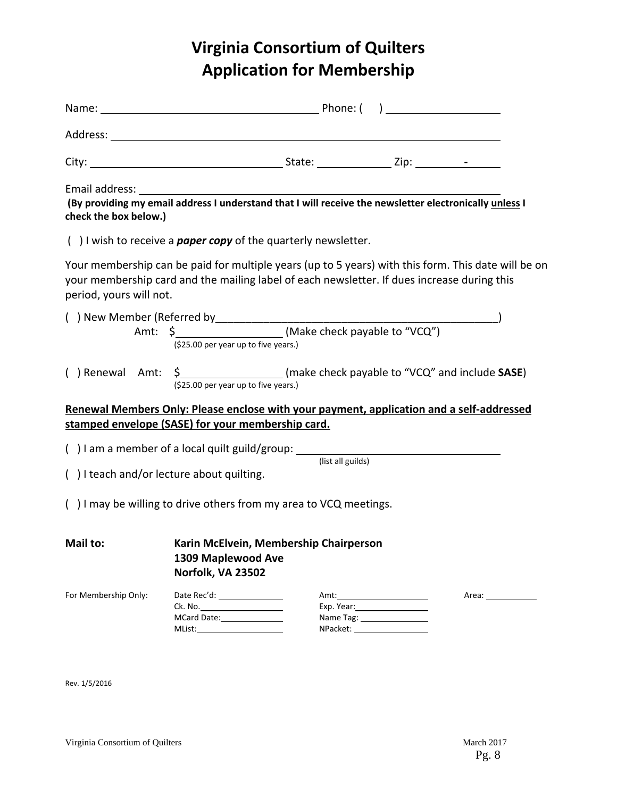## **Virginia Consortium of Quilters Application for Membership**

| check the box below.)   |                                                                                                                                                                                                    |                   |                 |  |
|-------------------------|----------------------------------------------------------------------------------------------------------------------------------------------------------------------------------------------------|-------------------|-----------------|--|
|                         | $( )$ I wish to receive a <b>paper copy</b> of the quarterly newsletter.                                                                                                                           |                   |                 |  |
| period, yours will not. | Your membership can be paid for multiple years (up to 5 years) with this form. This date will be on<br>your membership card and the mailing label of each newsletter. If dues increase during this |                   |                 |  |
|                         | (\$25.00 per year up to five years.)                                                                                                                                                               |                   |                 |  |
|                         | () Renewal Amt: \$_____________________(make check payable to "VCQ" and include SASE)<br>(\$25.00 per year up to five years.)                                                                      |                   |                 |  |
|                         | Renewal Members Only: Please enclose with your payment, application and a self-addressed                                                                                                           |                   |                 |  |
|                         | stamped envelope (SASE) for your membership card.                                                                                                                                                  |                   |                 |  |
|                         | () I am a member of a local quilt guild/group: ____________                                                                                                                                        | (list all guilds) |                 |  |
|                         | () I teach and/or lecture about quilting.                                                                                                                                                          |                   |                 |  |
|                         | () I may be willing to drive others from my area to VCQ meetings.                                                                                                                                  |                   |                 |  |
| Mail to:                | Karin McElvein, Membership Chairperson<br>1309 Maplewood Ave<br>Norfolk, VA 23502                                                                                                                  |                   |                 |  |
| For Membership Only:    | Date Rec'd: _________________<br>Ck. No. _______________________<br>MCard Date: 1988                                                                                                               |                   | Exp. Year: 1997 |  |
| Rev. 1/5/2016           |                                                                                                                                                                                                    |                   |                 |  |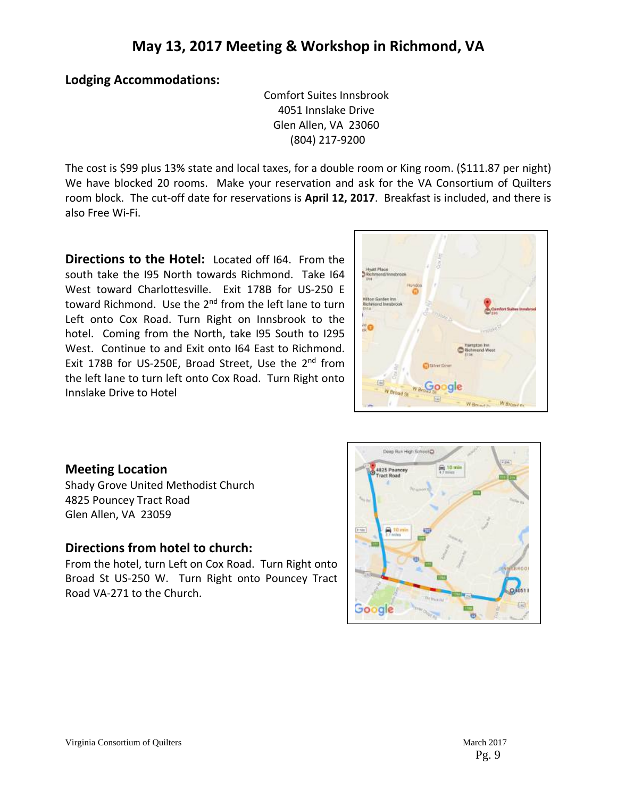## **Lodging Accommodations:**

Comfort Suites Innsbrook 4051 Innslake Drive Glen Allen, VA 23060 (804) 217‐9200

The cost is \$99 plus 13% state and local taxes, for a double room or King room. (\$111.87 per night) We have blocked 20 rooms. Make your reservation and ask for the VA Consortium of Quilters room block. The cut‐off date for reservations is **April 12, 2017**. Breakfast is included, and there is also Free Wi‐Fi.

**Directions to the Hotel:** Located off I64. From the south take the I95 North towards Richmond. Take I64 West toward Charlottesville. Exit 178B for US-250 E toward Richmond. Use the 2<sup>nd</sup> from the left lane to turn Left onto Cox Road. Turn Right on Innsbrook to the hotel. Coming from the North, take I95 South to I295 West. Continue to and Exit onto I64 East to Richmond. Exit 178B for US-250E, Broad Street, Use the 2<sup>nd</sup> from the left lane to turn left onto Cox Road. Turn Right onto Innslake Drive to Hotel



## **Meeting Location**

Shady Grove United Methodist Church 4825 Pouncey Tract Road Glen Allen, VA 23059

## **Directions from hotel to church:**

From the hotel, turn Left on Cox Road. Turn Right onto Broad St US-250 W. Turn Right onto Pouncey Tract Road VA‐271 to the Church.

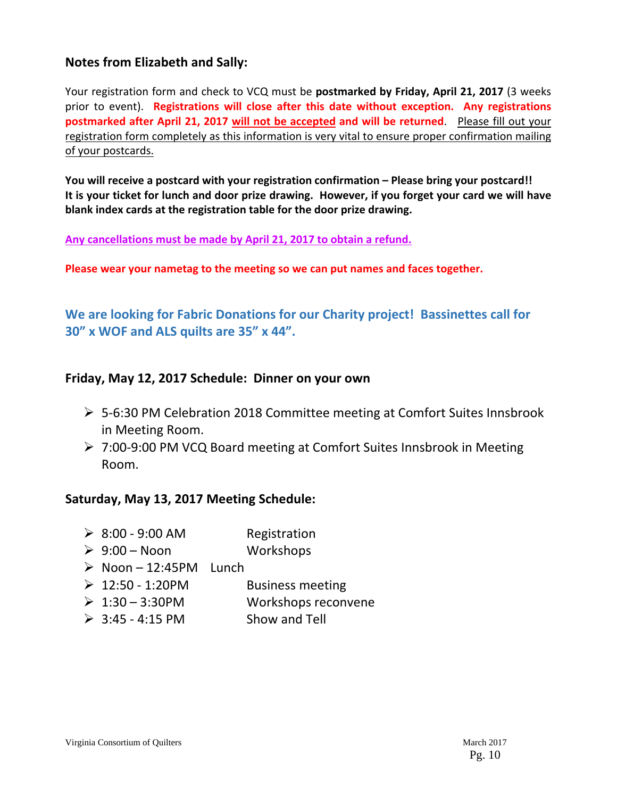## **Notes from Elizabeth and Sally:**

Your registration form and check to VCQ must be **postmarked by Friday, April 21, 2017** (3 weeks prior to event). **Registrations will close after this date without exception. Any registrations postmarked after April 21, 2017 will not be accepted and will be returned**. Please fill out your registration form completely as this information is very vital to ensure proper confirmation mailing of your postcards.

**You will receive a postcard with your registration confirmation – Please bring your postcard!!**  It is your ticket for lunch and door prize drawing. However, if you forget your card we will have **blank index cards at the registration table for the door prize drawing.**

**Any cancellations must be made by April 21, 2017 to obtain a refund.**

**Please wear your nametag to the meeting so we can put names and faces together.**

**We are looking for Fabric Donations for our Charity project! Bassinettes call for 30" x WOF and ALS quilts are 35" x 44".**

## **Friday, May 12, 2017 Schedule: Dinner on your own**

- 5‐6:30 PM Celebration 2018 Committee meeting at Comfort Suites Innsbrook in Meeting Room.
- 7:00‐9:00 PM VCQ Board meeting at Comfort Suites Innsbrook in Meeting Room.

## **Saturday, May 13, 2017 Meeting Schedule:**

| $\geq 8:00 - 9:00$ AM                 | Registration            |
|---------------------------------------|-------------------------|
| $\triangleright$ 9:00 – Noon          | Workshops               |
| $\triangleright$ Noon - 12:45PM Lunch |                         |
| $\geq 12:50 - 1:20$ PM                | <b>Business meeting</b> |
| $\geq 1:30 - 3:30$ PM                 | Workshops reconvene     |
| $\geq$ 3:45 - 4:15 PM                 | Show and Tell           |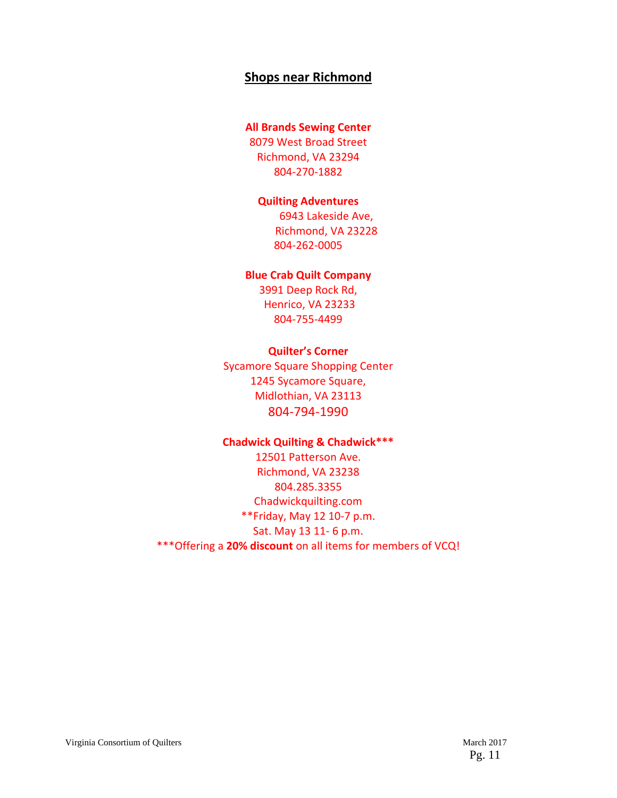## **Shops near Richmond**

#### **All Brands Sewing Center**

8079 West Broad Street Richmond, VA 23294 804‐270‐1882

#### **Quilting Adventures**

6943 Lakeside Ave, Richmond, VA 23228 804‐262‐0005

#### **Blue Crab Quilt Company**

3991 Deep Rock Rd, Henrico, VA 23233 804‐755‐4499

#### **Quilter's Corner**

Sycamore Square Shopping Center 1245 Sycamore Square, Midlothian, VA 23113 804‐794‐1990

#### **Chadwick Quilting & Chadwick\*\*\***

12501 Patterson Ave. Richmond, VA 23238 804.285.3355 Chadwickquilting.com \*\*Friday, May 12 10‐7 p.m. Sat. May 13 11‐ 6 p.m. \*\*\*Offering a **20% discount** on all items for members of VCQ!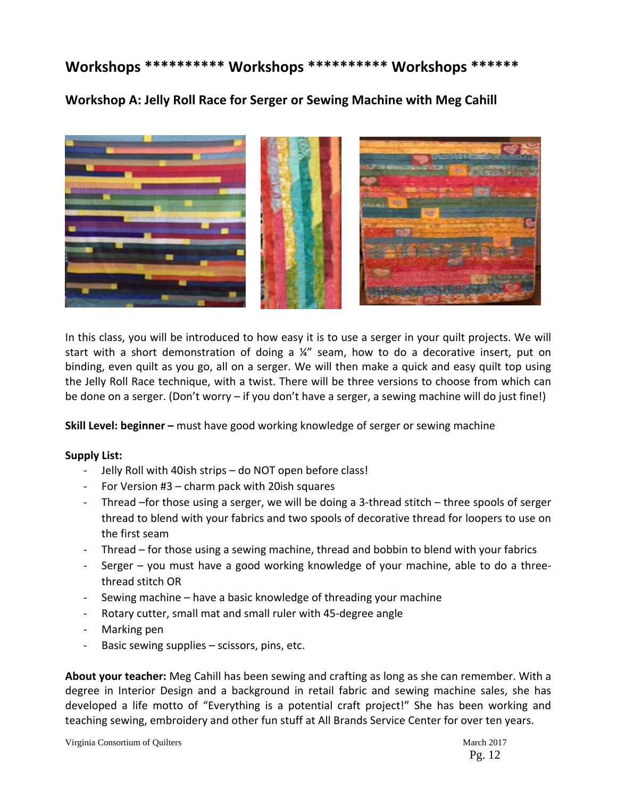## **Workshops \*\*\*\*\*\*\*\*\*\* Workshops \*\*\*\*\*\*\*\*\*\* Workshops \*\*\*\*\*\***

**Workshop A: Jelly Roll Race for Serger or Sewing Machine with Meg Cahill**



In this class, you will be introduced to how easy it is to use a serger in your quilt projects. We will start with a short demonstration of doing a  $\frac{1}{4}$  seam, how to do a decorative insert, put on binding, even quilt as you go, all on a serger. We will then make a quick and easy quilt top using the Jelly Roll Race technique, with a twist. There will be three versions to choose from which can be done on a serger. (Don't worry – if you don't have a serger, a sewing machine will do just fine!)

**Skill Level: beginner –** must have good working knowledge of serger or sewing machine

## **Supply List:**

- ‐ Jelly Roll with 40ish strips do NOT open before class!
- ‐ For Version #3 charm pack with 20ish squares
- ‐ Thread –for those using a serger, we will be doing a 3‐thread stitch three spools of serger thread to blend with your fabrics and two spools of decorative thread for loopers to use on the first seam
- ‐ Thread for those using a sewing machine, thread and bobbin to blend with your fabrics
- Serger you must have a good working knowledge of your machine, able to do a threethread stitch OR
- Sewing machine have a basic knowledge of threading your machine
- ‐ Rotary cutter, small mat and small ruler with 45‐degree angle
- ‐ Marking pen
- Basic sewing supplies scissors, pins, etc.

**About your teacher:** Meg Cahill has been sewing and crafting as long as she can remember. With a degree in Interior Design and a background in retail fabric and sewing machine sales, she has developed a life motto of "Everything is a potential craft project!" She has been working and teaching sewing, embroidery and other fun stuff at All Brands Service Center for over ten years.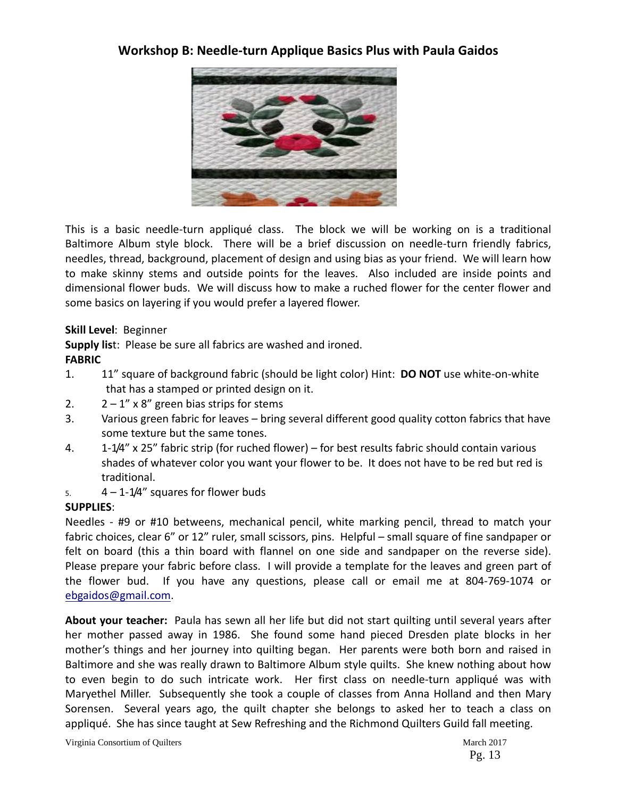## **Workshop B: Needle‐turn Applique Basics Plus with Paula Gaidos**



This is a basic needle-turn appliqué class. The block we will be working on is a traditional Baltimore Album style block. There will be a brief discussion on needle-turn friendly fabrics, needles, thread, background, placement of design and using bias as your friend. We will learn how to make skinny stems and outside points for the leaves. Also included are inside points and dimensional flower buds. We will discuss how to make a ruched flower for the center flower and some basics on layering if you would prefer a layered flower.

## **Skill Level**: Beginner

**Supply lis**t: Please be sure all fabrics are washed and ironed. **FABRIC**

- 1. 11" square of background fabric (should be light color) Hint: **DO NOT** use white‐on‐white that has a stamped or printed design on it.
- 2.  $2 1'' \times 8''$  green bias strips for stems
- 3. Various green fabric for leaves bring several different good quality cotton fabrics that have some texture but the same tones.
- 4. 1‐1/4" x 25" fabric strip (for ruched flower) for best results fabric should contain various shades of whatever color you want your flower to be. It does not have to be red but red is traditional.
- 5.  $4 1 1/4$ " squares for flower buds

## **SUPPLIES**:

Needles - #9 or #10 betweens, mechanical pencil, white marking pencil, thread to match your fabric choices, clear 6" or 12" ruler, small scissors, pins. Helpful – small square of fine sandpaper or felt on board (this a thin board with flannel on one side and sandpaper on the reverse side). Please prepare your fabric before class. I will provide a template for the leaves and green part of the flower bud. If you have any questions, please call or email me at 804-769-1074 or ebgaidos@gmail.com.

**About your teacher:** Paula has sewn all her life but did not start quilting until several years after her mother passed away in 1986. She found some hand pieced Dresden plate blocks in her mother's things and her journey into quilting began. Her parents were both born and raised in Baltimore and she was really drawn to Baltimore Album style quilts. She knew nothing about how to even begin to do such intricate work. Her first class on needle-turn appliqué was with Maryethel Miller. Subsequently she took a couple of classes from Anna Holland and then Mary Sorensen. Several years ago, the quilt chapter she belongs to asked her to teach a class on appliqué. She has since taught at Sew Refreshing and the Richmond Quilters Guild fall meeting.

Virginia Consortium of Quilters March 2017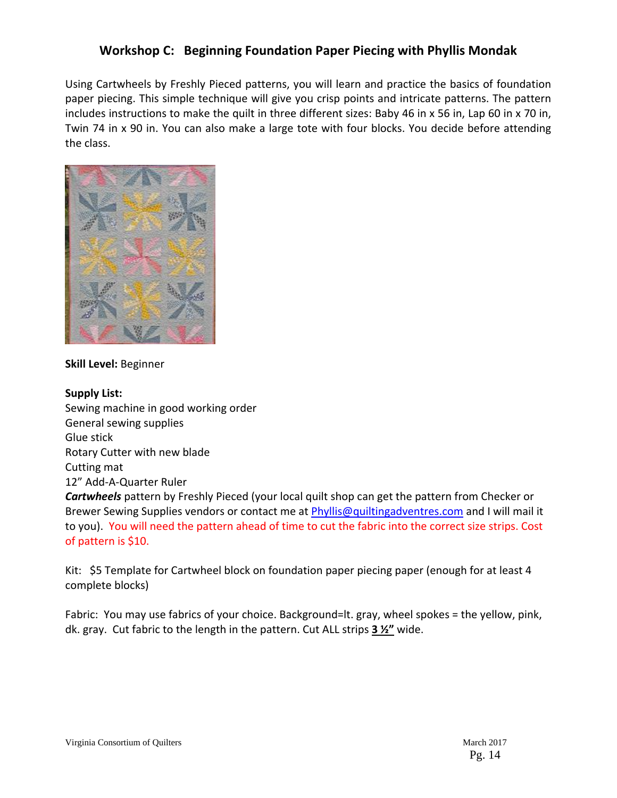## **Workshop C: Beginning Foundation Paper Piecing with Phyllis Mondak**

Using Cartwheels by Freshly Pieced patterns, you will learn and practice the basics of foundation paper piecing. This simple technique will give you crisp points and intricate patterns. The pattern includes instructions to make the quilt in three different sizes: Baby 46 in x 56 in, Lap 60 in x 70 in, Twin 74 in x 90 in. You can also make a large tote with four blocks. You decide before attending the class.



**Skill Level:** Beginner

## **Supply List:** Sewing machine in good working order General sewing supplies Glue stick Rotary Cutter with new blade Cutting mat 12" Add‐A‐Quarter Ruler *Cartwheels* pattern by Freshly Pieced (your local quilt shop can get the pattern from Checker or Brewer Sewing Supplies vendors or contact me at Phyllis@quiltingadventres.com and I will mail it to you). You will need the pattern ahead of time to cut the fabric into the correct size strips. Cost of pattern is \$10.

Kit: \$5 Template for Cartwheel block on foundation paper piecing paper (enough for at least 4 complete blocks)

Fabric: You may use fabrics of your choice. Background=lt. gray, wheel spokes = the yellow, pink, dk. gray. Cut fabric to the length in the pattern. Cut ALL strips **3 ½"** wide.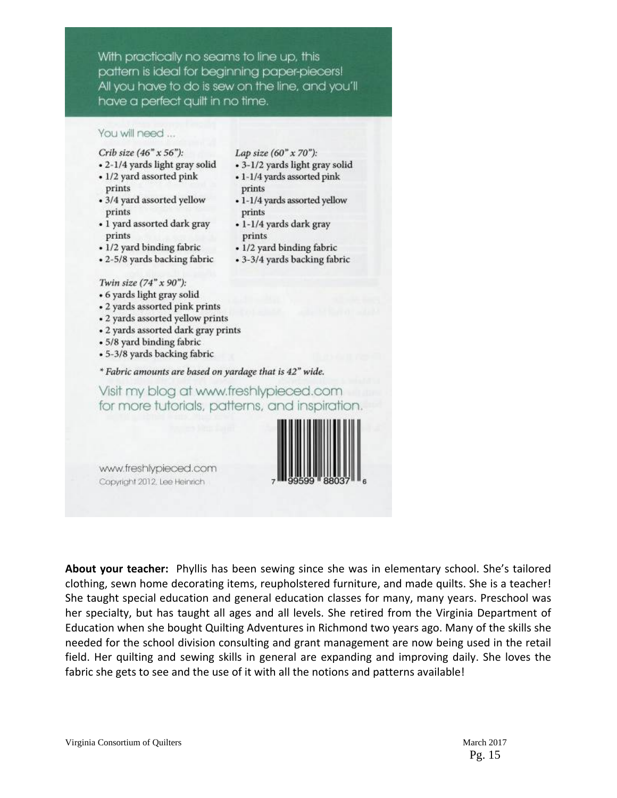With practically no seams to line up, this pattern is ideal for beginning paper-piecers! All you have to do is sew on the line, and you'll have a perfect quilt in no time.

#### You will need ...

#### Crib size  $(46" \times 56")$ :

- 2-1/4 yards light gray solid
- 1/2 yard assorted pink prints
- 3/4 yard assorted yellow prints
- 1 yard assorted dark gray prints
- 1/2 yard binding fabric
- 2-5/8 yards backing fabric

#### Lap size  $(60'' \times 70'')$ :

- 3-1/2 yards light gray solid
- 1-1/4 yards assorted pink prints
- 1-1/4 yards assorted yellow prints
- 1-1/4 yards dark gray prints
- 1/2 yard binding fabric
- 3-3/4 yards backing fabric

#### Twin size (74" x 90"):

- 6 yards light gray solid
- 2 yards assorted pink prints
- 2 yards assorted yellow prints
- 2 yards assorted dark gray prints
- 5/8 yard binding fabric
- 5-3/8 yards backing fabric

#### \* Fabric amounts are based on yardage that is 42" wide.

## Visit my blog at www.freshlypieced.com for more tutorials, patterns, and inspiration.



www.freshlypieced.com Copyright 2012, Lee Heinrich

**About your teacher:** Phyllis has been sewing since she was in elementary school. She's tailored clothing, sewn home decorating items, reupholstered furniture, and made quilts. She is a teacher! She taught special education and general education classes for many, many years. Preschool was her specialty, but has taught all ages and all levels. She retired from the Virginia Department of Education when she bought Quilting Adventures in Richmond two years ago. Many of the skills she needed for the school division consulting and grant management are now being used in the retail field. Her quilting and sewing skills in general are expanding and improving daily. She loves the fabric she gets to see and the use of it with all the notions and patterns available!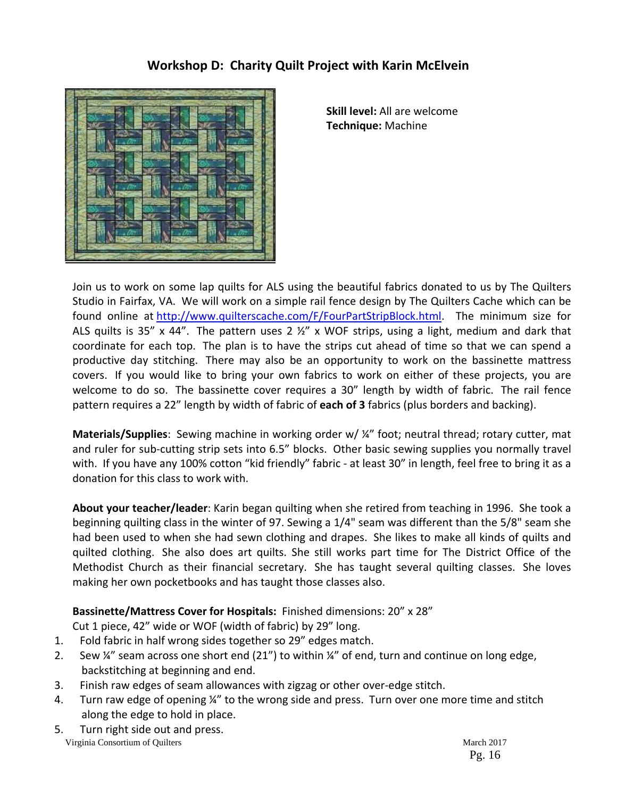## **Workshop D: Charity Quilt Project with Karin McElvein**



**Skill level:** All are welcome **Technique:** Machine

Join us to work on some lap quilts for ALS using the beautiful fabrics donated to us by The Quilters Studio in Fairfax, VA. We will work on a simple rail fence design by The Quilters Cache which can be found online at http://www.quilterscache.com/F/FourPartStripBlock.html. The minimum size for ALS quilts is 35" x 44". The pattern uses 2  $\frac{1}{2}$ " x WOF strips, using a light, medium and dark that coordinate for each top. The plan is to have the strips cut ahead of time so that we can spend a productive day stitching. There may also be an opportunity to work on the bassinette mattress covers. If you would like to bring your own fabrics to work on either of these projects, you are welcome to do so. The bassinette cover requires a 30" length by width of fabric. The rail fence pattern requires a 22" length by width of fabric of **each of 3** fabrics (plus borders and backing).

**Materials/Supplies**: Sewing machine in working order w/ ¼" foot; neutral thread; rotary cutter, mat and ruler for sub-cutting strip sets into 6.5" blocks. Other basic sewing supplies you normally travel with. If you have any 100% cotton "kid friendly" fabric - at least 30" in length, feel free to bring it as a donation for this class to work with.

**About your teacher/leader**: Karin began quilting when she retired from teaching in 1996. She took a beginning quilting class in the winter of 97. Sewing a 1/4" seam was different than the 5/8" seam she had been used to when she had sewn clothing and drapes. She likes to make all kinds of quilts and quilted clothing. She also does art quilts. She still works part time for The District Office of the Methodist Church as their financial secretary. She has taught several quilting classes. She loves making her own pocketbooks and has taught those classes also.

## **Bassinette/Mattress Cover for Hospitals:** Finished dimensions: 20" x 28"

Cut 1 piece, 42" wide or WOF (width of fabric) by 29" long.

- 1. Fold fabric in half wrong sides together so 29" edges match.
- 2. Sew ¼" seam across one short end (21") to within ¼" of end, turn and continue on long edge, backstitching at beginning and end.
- 3. Finish raw edges of seam allowances with zigzag or other over‐edge stitch.
- 4. Turn raw edge of opening ¼" to the wrong side and press. Turn over one more time and stitch along the edge to hold in place.
- Virginia Consortium of Quilters March 2017 5. Turn right side out and press.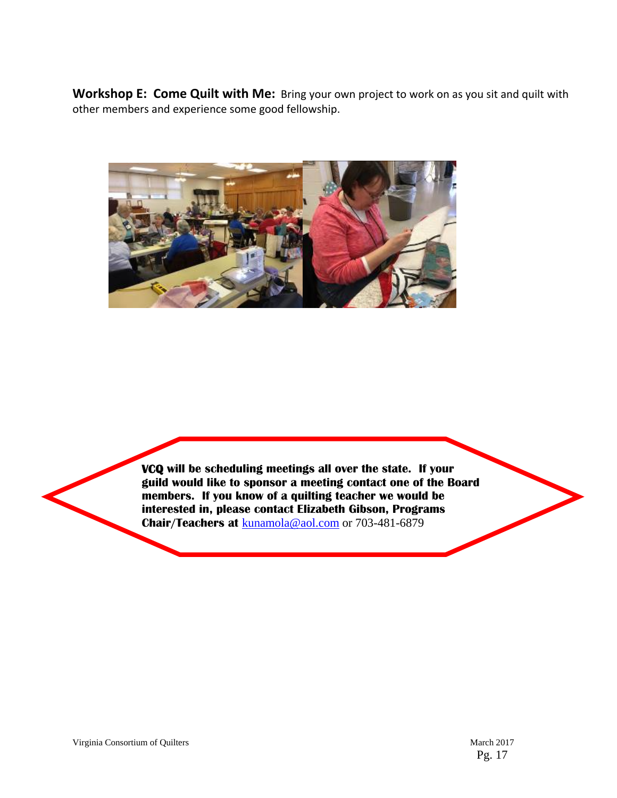**Workshop E: Come Quilt with Me:** Bring your own project to work on as you sit and quilt with other members and experience some good fellowship.



 **VCQ will be scheduling meetings all over the state. If your guild would like to sponsor a meeting contact one of the Board members. If you know of a quilting teacher we would be interested in, please contact Elizabeth Gibson, Programs Chair/Teachers at** kunamola@aol.com or 703-481-6879

**Contract**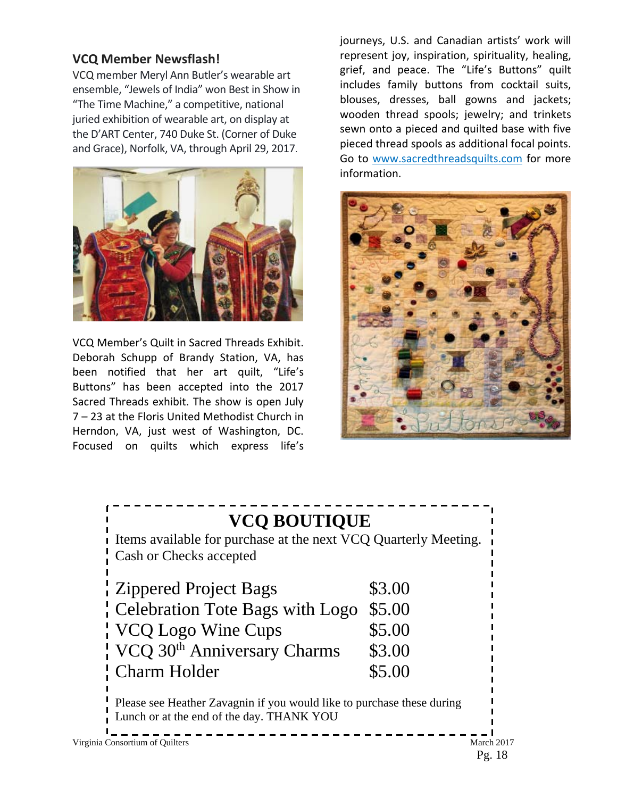## **VCQ Member Newsflash!**

VCQ member Meryl Ann Butler's wearable art ensemble, "Jewels of India" won Best in Show in "The Time Machine," a competitive, national juried exhibition of wearable art, on display at the D'ART Center, 740 Duke St. (Corner of Duke and Grace), Norfolk, VA, through April 29, 2017.



VCQ Member's Quilt in Sacred Threads Exhibit. Deborah Schupp of Brandy Station, VA, has been notified that her art quilt, "Life's Buttons" has been accepted into the 2017 Sacred Threads exhibit. The show is open July 7 – 23 at the Floris United Methodist Church in Herndon, VA, just west of Washington, DC. Focused on quilts which express life's journeys, U.S. and Canadian artists' work will represent joy, inspiration, spirituality, healing, grief, and peace. The "Life's Buttons" quilt includes family buttons from cocktail suits, blouses, dresses, ball gowns and jackets; wooden thread spools; jewelry; and trinkets sewn onto a pieced and quilted base with five pieced thread spools as additional focal points. Go to www.sacredthreadsquilts.com for more information.



## **VCQ BOUTIQUE**  Items available for purchase at the next VCQ Quarterly Meeting. Cash or Checks accepted Zippered Project Bags \$3.00 Celebration Tote Bags with Logo \$5.00 VCQ Logo Wine Cups \$5.00 VCQ 30<sup>th</sup> Anniversary Charms \$3.00 Charm Holder \$5.00 Please see Heather Zavagnin if you would like to purchase these during Lunch or at the end of the day. THANK YOU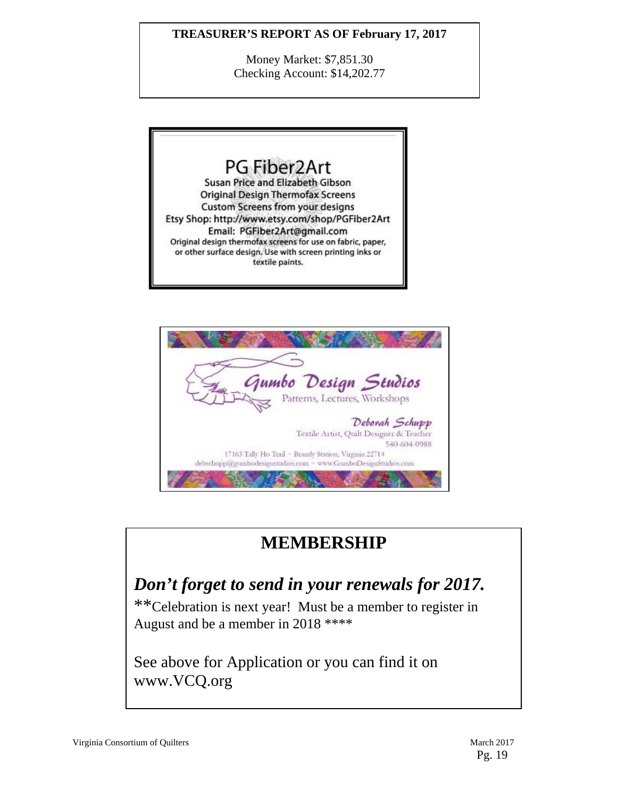## **TREASURER'S REPORT AS OF February 17, 2017**

Money Market: \$7,851.30 Checking Account: \$14,202.77





## **MEMBERSHIP**

## *Don't forget to send in your renewals for 2017.*

\*\*Celebration is next year! Must be a member to register in August and be a member in 2018 \*\*\*\*

See above for Application or you can find it on www.VCQ.org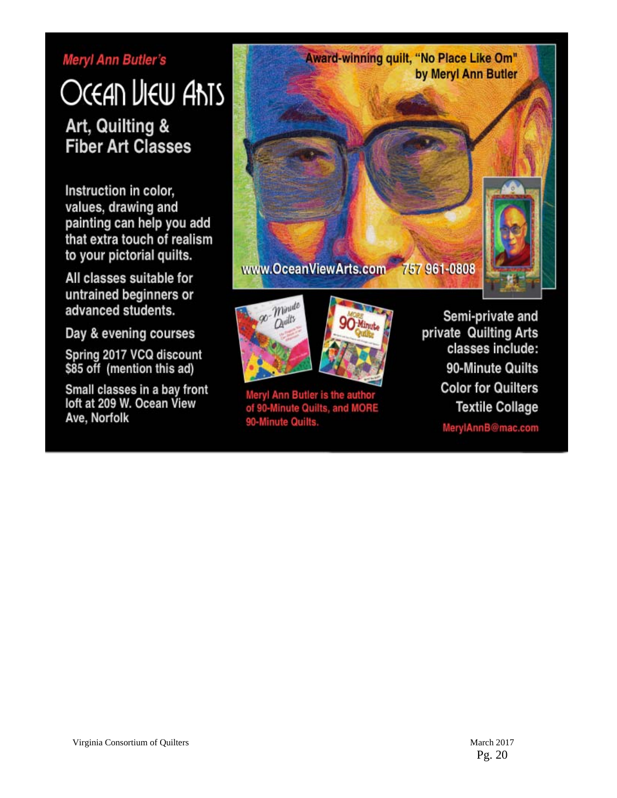## Meryl Ann Butler's

# OCEAN LIEW ANTS Art, Quilting & **Fiber Art Classes**

Instruction in color, values, drawing and painting can help you add that extra touch of realism to your pictorial quilts.

All classes suitable for untrained beginners or advanced students.

Day & evening courses

Spring 2017 VCQ discount<br>\$85 off (mention this ad)

Small classes in a bay front loft at 209 W. Ocean View Ave, Norfolk





Meryl Ann Butler is the author of 90-Minute Quilts, and MORE 90-Minute Quilts.

Semi-private and private Quilting Arts classes include: 90-Minute Quilts **Color for Quilters Textile Collage** 

MerylAnnB@mac.com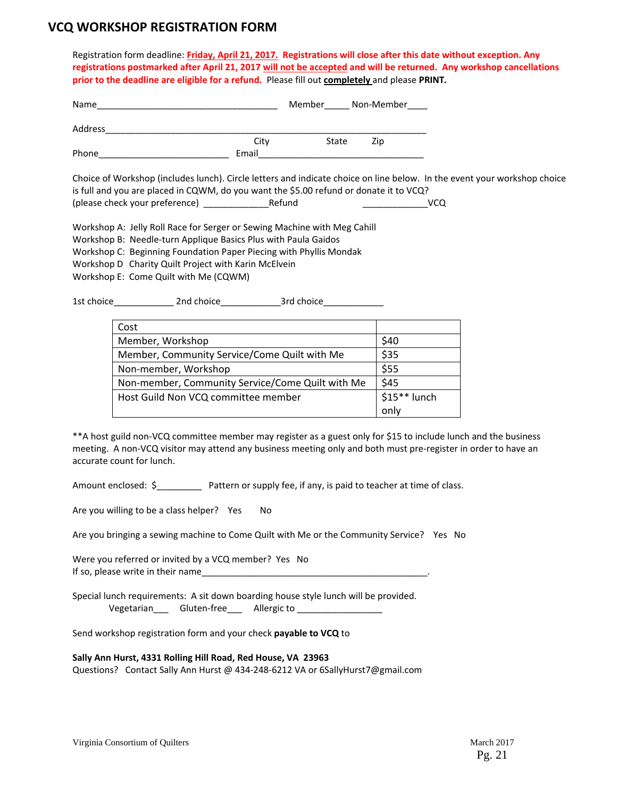## **VCQ WORKSHOP REGISTRATION FORM**

Registration form deadline: **Friday, April 21, 2017.****Registrations will close after this date without exception. Any** registrations postmarked after April 21, 2017 will not be accepted and will be returned. Any workshop cancellations **prior to the deadline are eligible for a refund.** Please fill out **completely** and please **PRINT***.*

| Name                                                                                                                            |       | Member | Non-Member |                                                                                                                                 |
|---------------------------------------------------------------------------------------------------------------------------------|-------|--------|------------|---------------------------------------------------------------------------------------------------------------------------------|
| Address                                                                                                                         |       |        |            |                                                                                                                                 |
|                                                                                                                                 | City  | State  | Zip        |                                                                                                                                 |
| Phone                                                                                                                           | Email |        |            |                                                                                                                                 |
| is full and you are placed in CQWM, do you want the \$5.00 refund or donate it to VCQ?<br>(please check your preference) Refund |       |        |            | Choice of Workshop (includes lunch). Circle letters and indicate choice on line below. In the event your workshop choice<br>VCQ |
| Workshop A: Jelly Roll Race for Serger or Sewing Machine with Meg Cahill                                                        |       |        |            |                                                                                                                                 |
| Workshop B: Needle-turn Applique Basics Plus with Paula Gaidos                                                                  |       |        |            |                                                                                                                                 |
| Workshop C: Beginning Foundation Paper Piecing with Phyllis Mondak                                                              |       |        |            |                                                                                                                                 |
| Workshop D Charity Quilt Project with Karin McElvein                                                                            |       |        |            |                                                                                                                                 |

Workshop E: Come Quilt with Me (CQWM)

1st choice\_\_\_\_\_\_\_\_\_\_\_\_ 2nd choice\_\_\_\_\_\_\_\_\_\_\_\_3rd choice\_\_\_\_\_\_\_\_\_\_\_\_

| Cost                                             |               |
|--------------------------------------------------|---------------|
| Member, Workshop                                 | \$40          |
| Member, Community Service/Come Quilt with Me     | \$35          |
| Non-member, Workshop                             | \$55          |
| Non-member, Community Service/Come Quilt with Me | \$45          |
| Host Guild Non VCQ committee member              | $$15**$ lunch |
|                                                  | only          |

\*\*A host guild non‐VCQ committee member may register as a guest only for \$15 to include lunch and the business meeting. A non‐VCQ visitor may attend any business meeting only and both must pre‐register in order to have an accurate count for lunch.

Amount enclosed: \$\_\_\_\_\_\_\_\_\_\_\_ Pattern or supply fee, if any, is paid to teacher at time of class.

Are you willing to be a class helper? Yes No

Are you bringing a sewing machine to Come Quilt with Me or the Community Service? Yes No

Were you referred or invited by a VCQ member? Yes No If so, please write in their name

Special lunch requirements: A sit down boarding house style lunch will be provided. Vegetarian\_\_\_\_ Gluten-free\_\_\_ Allergic to \_\_\_\_\_\_\_\_\_\_\_

Send workshop registration form and your check **payable to VCQ** to

**Sally Ann Hurst, 4331 Rolling Hill Road, Red House, VA 23963**

Questions? Contact Sally Ann Hurst @ 434-248-6212 VA or 6SallyHurst7@gmail.com